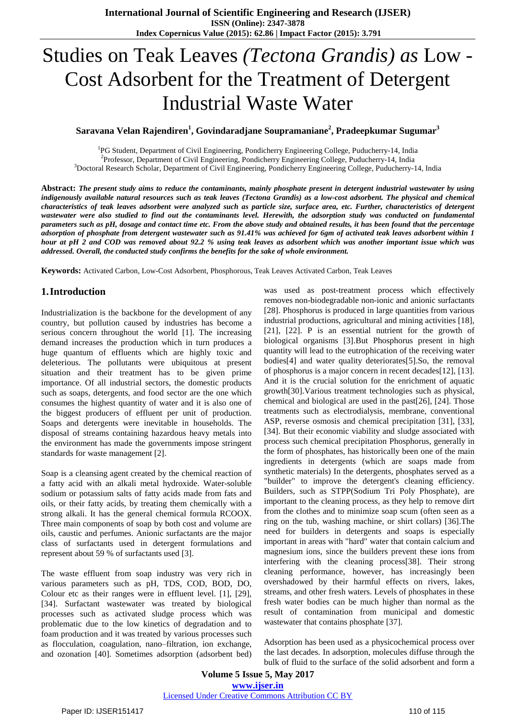# Studies on Teak Leaves *(Tectona Grandis) as* Low - Cost Adsorbent for the Treatment of Detergent Industrial Waste Water

## **Saravana Velan Rajendiren<sup>1</sup> , Govindaradjane Soupramaniane<sup>2</sup> , Pradeepkumar Sugumar<sup>3</sup>**

<sup>1</sup>PG Student, Department of Civil Engineering, Pondicherry Engineering College, Puducherry-14, India <sup>2</sup>Professor, Department of Civil Engineering, Pondicherry Engineering College, Puducherry-14, India <sup>3</sup>Doctoral Research Scholar, Department of Civil Engineering, Pondicherry Engineering College, Puducherry-14, India

Abstract: The present study aims to reduce the contaminants, mainly phosphate present in detergent industrial wastewater by using indigenously available natural resources such as teak leaves (Tectona Grandis) as a low-cost adsorbent. The physical and chemical characteristics of teak leaves adsorbent were analyzed such as particle size, surface area, etc. Further, characteristics of detergent wastewater were also studied to find out the contaminants level. Herewith, the adsorption study was conducted on fundamental parameters such as pH, dosage and contact time etc. From the above study and obtained results, it has been found that the percentage adsorption of phosphate from detergent wastewater such as 91.41% was achieved for 6gm of activated teak leaves adsorbent within 1 hour at pH 2 and COD was removed about 92.2 % using teak leaves as adsorbent which was another important issue which was *addressed. Overall, the conducted study confirms the benefits for the sake of whole environment.*

**Keywords:** Activated Carbon, Low-Cost Adsorbent, Phosphorous, Teak Leaves Activated Carbon, Teak Leaves

## **1.Introduction**

Industrialization is the backbone for the development of any country, but pollution caused by industries has become a serious concern throughout the world [1]. The increasing demand increases the production which in turn produces a huge quantum of effluents which are highly toxic and deleterious. The pollutants were ubiquitous at present situation and their treatment has to be given prime importance. Of all industrial sectors, the domestic products such as soaps, detergents, and food sector are the one which consumes the highest quantity of water and it is also one of the biggest producers of effluent per unit of production. Soaps and detergents were inevitable in households. The disposal of streams containing hazardous heavy metals into the environment has made the governments impose stringent standards for waste management [2].

Soap is a cleansing agent created by the chemical reaction of a fatty acid with an alkali metal hydroxide. Water-soluble sodium or potassium salts of fatty acids made from fats and oils, or their fatty acids, by treating them chemically with a strong alkali. It has the general chemical formula RCOOX. Three main components of soap by both cost and volume are oils, caustic and perfumes. Anionic surfactants are the major class of surfactants used in detergent formulations and represent about 59 % of surfactants used [3].

The waste effluent from soap industry was very rich in various parameters such as pH, TDS, COD, BOD, DO, Colour etc as their ranges were in effluent level. [1], [29], [34]. Surfactant wastewater was treated by biological processes such as activated sludge process which was problematic due to the low kinetics of degradation and to foam production and it was treated by various processes such as flocculation, coagulation, nano–filtration, ion exchange, and ozonation [40]. Sometimes adsorption (adsorbent bed)

was used as post-treatment process which effectively removes non-biodegradable non-ionic and anionic surfactants [28]. Phosphorus is produced in large quantities from various industrial productions, agricultural and mining activities [18], [21], [22]. P is an essential nutrient for the growth of biological organisms [3].But Phosphorus present in high quantity will lead to the eutrophication of the receiving water bodies[4] and water quality deteriorates[5].So, the removal of phosphorus is a major concern in recent decades[12], [13]. And it is the crucial solution for the enrichment of aquatic growth[30].Various treatment technologies such as physical, chemical and biological are used in the past[26], [24]. Those treatments such as electrodialysis, membrane, conventional ASP, reverse osmosis and chemical precipitation [31], [33], [34]. But their economic viability and sludge associated with process such chemical precipitation Phosphorus, generally in the form of phosphates, has historically been one of the main ingredients in detergents (which are soaps made from synthetic materials) In the detergents, phosphates served as a "builder" to improve the detergent's cleaning efficiency. Builders, such as STPP(Sodium Tri Poly Phosphate), are important to the cleaning process, as they help to remove dirt from the clothes and to minimize soap scum (often seen as a ring on the tub, washing machine, or shirt collars) [36].The need for builders in detergents and soaps is especially important in areas with "hard" water that contain calcium and magnesium ions, since the builders prevent these ions from interfering with the cleaning process[38]. Their strong cleaning performance, however, has increasingly been overshadowed by their harmful effects on rivers, lakes, streams, and other fresh waters. Levels of phosphates in these fresh water bodies can be much higher than normal as the result of contamination from municipal and domestic wastewater that contains phosphate [37].

Adsorption has been used as a physicochemical process over the last decades. In adsorption, molecules diffuse through the bulk of fluid to the surface of the solid adsorbent and form a

**Volume 5 Issue 5, May 2017 www.ijser.in** Licensed Under Creative Commons Attribution CC BY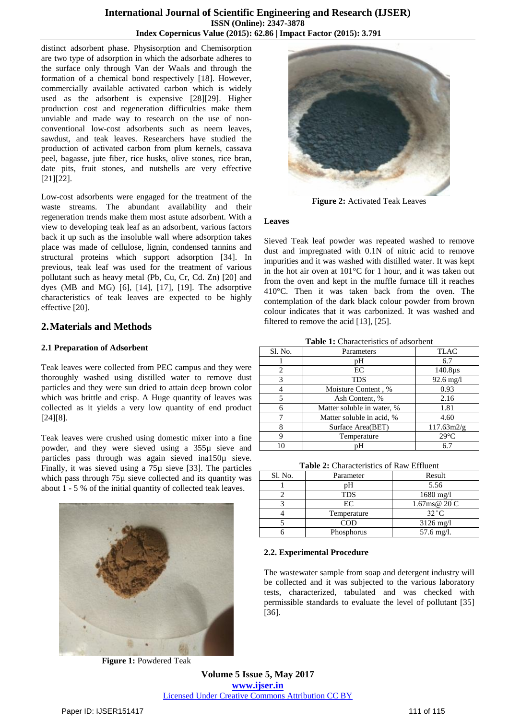distinct adsorbent phase. Physisorption and Chemisorption are two type of adsorption in which the adsorbate adheres to the surface only through Van der Waals and through the formation of a chemical bond respectively [18]. However, commercially available activated carbon which is widely used as the adsorbent is expensive [28][29]. Higher production cost and regeneration difficulties make them unviable and made way to research on the use of nonconventional low-cost adsorbents such as neem leaves, sawdust, and teak leaves. Researchers have studied the production of activated carbon from plum kernels, cassava peel, bagasse, jute fiber, rice husks, olive stones, rice bran, date pits, fruit stones, and nutshells are very effective [21][22].

Low-cost adsorbents were engaged for the treatment of the waste streams. The abundant availability and their regeneration trends make them most astute adsorbent. With a view to developing teak leaf as an adsorbent, various factors back it up such as the insoluble wall where adsorption takes place was made of cellulose, lignin, condensed tannins and structural proteins which support adsorption [34]. In previous, teak leaf was used for the treatment of various pollutant such as heavy metal (Pb, Cu, Cr, Cd. Zn) [20] and dyes (MB and MG) [6], [14], [17], [19]. The adsorptive characteristics of teak leaves are expected to be highly effective [20].

# **2.Materials and Methods**

## **2.1 Preparation of Adsorbent**

Teak leaves were collected from PEC campus and they were thoroughly washed using distilled water to remove dust particles and they were sun dried to attain deep brown color which was brittle and crisp. A Huge quantity of leaves was collected as it yields a very low quantity of end product [24][8].

Teak leaves were crushed using domestic mixer into a fine powder, and they were sieved using a 355µ sieve and particles pass through was again sieved ina150µ sieve. Finally, it was sieved using a 75µ sieve [33]. The particles which pass through 75 $\mu$  sieve collected and its quantity was about 1 - 5 % of the initial quantity of collected teak leaves.



**Figure 1:** Powdered Teak



**Figure 2:** Activated Teak Leaves

#### **Leaves**

Sieved Teak leaf powder was repeated washed to remove dust and impregnated with 0.1N of nitric acid to remove impurities and it was washed with distilled water. It was kept in the hot air oven at 101°C for 1 hour, and it was taken out from the oven and kept in the muffle furnace till it reaches 410°C. Then it was taken back from the oven. The contemplation of the dark black colour powder from brown colour indicates that it was carbonized. It was washed and filtered to remove the acid [13], [25].

**Table 1:** Characteristics of adsorbent

| Sl. No. | Parameters                 | <b>TLAC</b>          |
|---------|----------------------------|----------------------|
|         | pН                         | 6.7                  |
|         | EC                         | $140.8\mu s$         |
| 3       | <b>TDS</b>                 | $92.6 \text{ mg}/1$  |
|         | Moisture Content, %        | 0.93                 |
| 5       | Ash Content, %             | 2.16                 |
|         | Matter soluble in water, % | 1.81                 |
|         | Matter soluble in acid, %  | 4.60                 |
|         | Surface Area(BET)          | $117.63 \text{m2/g}$ |
|         | Temperature                | $29^{\circ}$ C       |
| 10      | pН                         | 6.7                  |

|  | <b>Table 2:</b> Characteristics of Raw Effluent |  |  |
|--|-------------------------------------------------|--|--|
|--|-------------------------------------------------|--|--|

| Sl. No. | Parameter   | Result                          |
|---------|-------------|---------------------------------|
|         | pН          | 5.56                            |
|         | <b>TDS</b>  | $1680 \text{ mg}/1$             |
|         | EC          | $1.67 \text{ms} @ 20^{\circ}$ C |
|         | Temperature | $32^{\circ}$ C                  |
|         | COD         | $3126$ mg/l                     |
|         | Phosphorus  | $57.6$ mg/l.                    |

#### **2.2. Experimental Procedure**

The wastewater sample from soap and detergent industry will be collected and it was subjected to the various laboratory tests, characterized, tabulated and was checked with permissible standards to evaluate the level of pollutant [35] [36].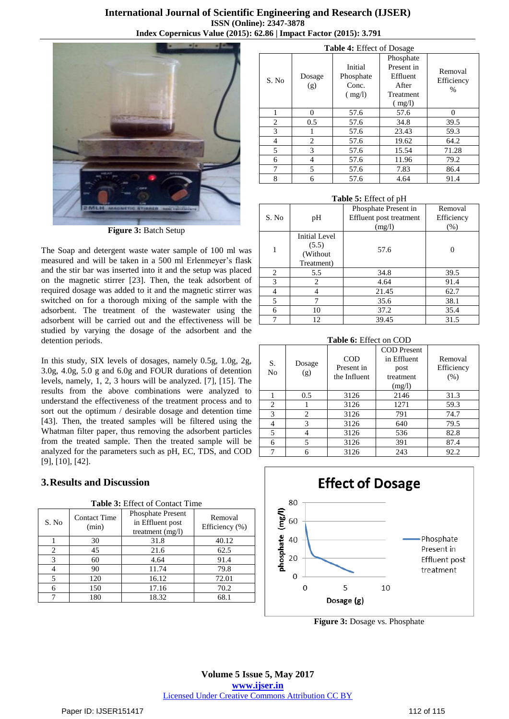## **International Journal of Scientific Engineering and Research (IJSER) ISSN (Online): 2347-3878 Index Copernicus Value (2015): 62.86 | Impact Factor (2015): 3.791**



**Figure 3:** Batch Setup

The Soap and detergent waste water sample of 100 ml was measured and will be taken in a 500 ml Erlenmeyer's flask and the stir bar was inserted into it and the setup was placed on the magnetic stirrer [23]. Then, the teak adsorbent of required dosage was added to it and the magnetic stirrer was switched on for a thorough mixing of the sample with the adsorbent. The treatment of the wastewater using the adsorbent will be carried out and the effectiveness will be studied by varying the dosage of the adsorbent and the detention periods.

In this study, SIX levels of dosages, namely 0.5g, 1.0g, 2g, 3.0g, 4.0g, 5.0 g and 6.0g and FOUR durations of detention levels, namely, 1, 2, 3 hours will be analyzed. [7], [15]. The results from the above combinations were analyzed to understand the effectiveness of the treatment process and to sort out the optimum / desirable dosage and detention time [43]. Then, the treated samples will be filtered using the Whatman filter paper, thus removing the adsorbent particles from the treated sample. Then the treated sample will be analyzed for the parameters such as pH, EC, TDS, and COD [9], [10], [42].

# **3.Results and Discussion**

| <b>Table 3: Effect of Contact Time</b> |                              |                                                                    |                           |  |
|----------------------------------------|------------------------------|--------------------------------------------------------------------|---------------------------|--|
| S. No                                  | <b>Contact Time</b><br>(min) | <b>Phosphate Present</b><br>in Effluent post<br>treatment $(mg/l)$ | Removal<br>Efficiency (%) |  |
|                                        | 30                           | 31.8                                                               | 40.12                     |  |
| $\mathfrak{D}_{\mathfrak{p}}$          | 45                           | 21.6                                                               | 62.5                      |  |
| 3                                      | 60                           | 4.64                                                               | 91.4                      |  |
|                                        | 90                           | 11.74                                                              | 79.8                      |  |
| 5                                      | 120                          | 16.12                                                              | 72.01                     |  |
| 6                                      | 150                          | 17.16                                                              | 70.2                      |  |
|                                        | 180                          | 18.32                                                              | 68.1                      |  |

| <b>Table 4: Effect of Dosage</b> |                |           |                  |                             |
|----------------------------------|----------------|-----------|------------------|-----------------------------|
|                                  |                |           | Phosphate        |                             |
|                                  |                | Initial   | Present in       | Removal                     |
| S. No                            | Dosage         | Phosphate | Effluent         | Efficiency<br>$\frac{0}{0}$ |
|                                  | (g)            | Conc.     | After            |                             |
|                                  |                | (mg/l)    | <b>Treatment</b> |                             |
|                                  |                |           | (mg/l)           |                             |
| 1                                | $\Omega$       | 57.6      | 57.6             | 0                           |
| $\overline{c}$                   | 0.5            | 57.6      | 34.8             | 39.5                        |
| 3                                |                | 57.6      | 23.43            | 59.3                        |
| $\overline{4}$                   | $\overline{c}$ | 57.6      | 19.62            | 64.2                        |
| 5                                | 3              | 57.6      | 15.54            | 71.28                       |
| 6                                | $\overline{4}$ | 57.6      | 11.96            | 79.2                        |
| 7                                | 5              | 57.6      | 7.83             | 86.4                        |
| 8                                | 6              | 57.6      | 4.64             | 91.4                        |

| <b>Table 5:</b> Effect of pH |               |                         |            |  |
|------------------------------|---------------|-------------------------|------------|--|
|                              |               | Phosphate Present in    | Removal    |  |
| S. No                        | pH            | Effluent post treatment | Efficiency |  |
|                              |               | (mg/l)                  | (% )       |  |
|                              | Initial Level |                         |            |  |
|                              | (5.5)         | 57.6                    |            |  |
|                              | (Without)     |                         |            |  |
|                              | Treatment)    |                         |            |  |
| 2                            | 5.5           | 34.8                    | 39.5       |  |
| 3                            | 2             | 4.64                    | 91.4       |  |
| 4                            | 4             | 21.45                   | 62.7       |  |
| 5                            | 7             | 35.6                    | 38.1       |  |
| 6                            | 10            | 37.2                    | 35.4       |  |
|                              | 12            | 39.45                   | 31.5       |  |

**Table 6:** Effect on COD

| S.<br>N <sub>0</sub> | Dosage<br>(g) | COD<br>Present in<br>the Influent | <b>COD</b> Present<br>in Effluent<br>post<br>treatment<br>(mg/l) | Removal<br>Efficiency<br>(% ) |
|----------------------|---------------|-----------------------------------|------------------------------------------------------------------|-------------------------------|
|                      | 0.5           | 3126                              | 2146                                                             | 31.3                          |
| 2                    |               | 3126                              | 1271                                                             | 59.3                          |
| 3                    | 2             | 3126                              | 791                                                              | 74.7                          |
|                      | 3             | 3126                              | 640                                                              | 79.5                          |
| 5                    |               | 3126                              | 536                                                              | 82.8                          |
| 6                    | 5             | 3126                              | 391                                                              | 87.4                          |
|                      |               | 3126                              | 243                                                              | 92.2                          |



**Figure 3:** Dosage vs. Phosphate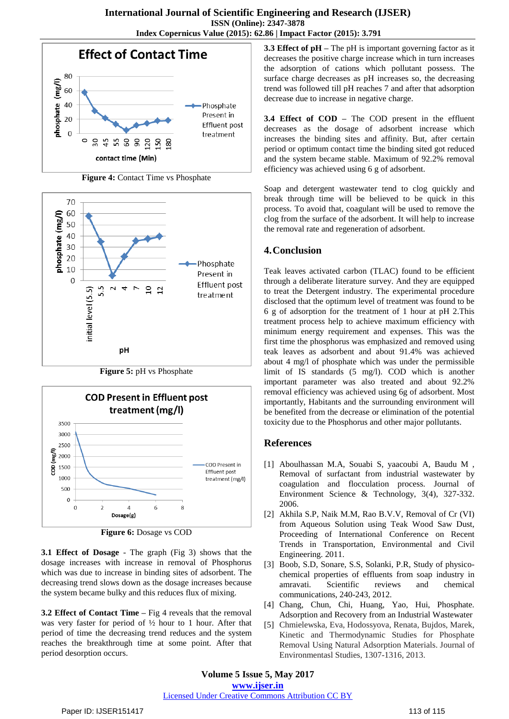

**Figure 4:** Contact Time vs Phosphate



**Figure 5:** pH vs Phosphate



**Figure 6:** Dosage vs COD

**3.1 Effect of Dosage** - The graph (Fig 3) shows that the dosage increases with increase in removal of Phosphorus which was due to increase in binding sites of adsorbent. The decreasing trend slows down as the dosage increases because the system became bulky and this reduces flux of mixing.

**3.2 Effect of Contact Time –** Fig 4 reveals that the removal was very faster for period of ½ hour to 1 hour. After that period of time the decreasing trend reduces and the system reaches the breakthrough time at some point. After that period desorption occurs.

**3.3 Effect of pH –** The pH is important governing factor as it decreases the positive charge increase which in turn increases the adsorption of cations which pollutant possess. The surface charge decreases as pH increases so, the decreasing trend was followed till pH reaches 7 and after that adsorption decrease due to increase in negative charge.

**3.4 Effect of COD –** The COD present in the effluent decreases as the dosage of adsorbent increase which increases the binding sites and affinity. But, after certain period or optimum contact time the binding sited got reduced and the system became stable. Maximum of 92.2% removal efficiency was achieved using 6 g of adsorbent.

Soap and detergent wastewater tend to clog quickly and break through time will be believed to be quick in this process. To avoid that, coagulant will be used to remove the clog from the surface of the adsorbent. It will help to increase the removal rate and regeneration of adsorbent.

# **4.Conclusion**

Teak leaves activated carbon (TLAC) found to be efficient through a deliberate literature survey. And they are equipped to treat the Detergent industry. The experimental procedure disclosed that the optimum level of treatment was found to be 6 g of adsorption for the treatment of 1 hour at pH 2.This treatment process help to achieve maximum efficiency with minimum energy requirement and expenses. This was the first time the phosphorus was emphasized and removed using teak leaves as adsorbent and about 91.4% was achieved about 4 mg/l of phosphate which was under the permissible limit of IS standards (5 mg/l). COD which is another important parameter was also treated and about 92.2% removal efficiency was achieved using 6g of adsorbent. Most importantly, Habitants and the surrounding environment will be benefited from the decrease or elimination of the potential toxicity due to the Phosphorus and other major pollutants.

# **References**

- [1] Aboulhassan M.A, Souabi S, yaacoubi A, Baudu M , Removal of surfactant from industrial wastewater by coagulation and flocculation process. Journal of Environment Science & Technology, 3(4), 327-332. 2006.
- [2] Akhila S.P, Naik M.M, Rao B.V.V, Removal of Cr (VI) from Aqueous Solution using Teak Wood Saw Dust, Proceeding of International Conference on Recent Trends in Transportation, Environmental and Civil Engineering. 2011.
- [3] Boob, S.D, Sonare, S.S, Solanki, P.R, Study of physicochemical properties of effluents from soap industry in amravati. Scientific reviews and chemical communications, 240-243, 2012.
- [4] Chang, Chun, Chi, Huang, Yao, Hui, Phosphate. Adsorption and Recovery from an Industrial Wastewater
- [5] Chmielewska, Eva, Hodossyova, Renata, Bujdos, Marek, Kinetic and Thermodynamic Studies for Phosphate Removal Using Natural Adsorption Materials. Journal of Environmentasl Studies, 1307-1316, 2013.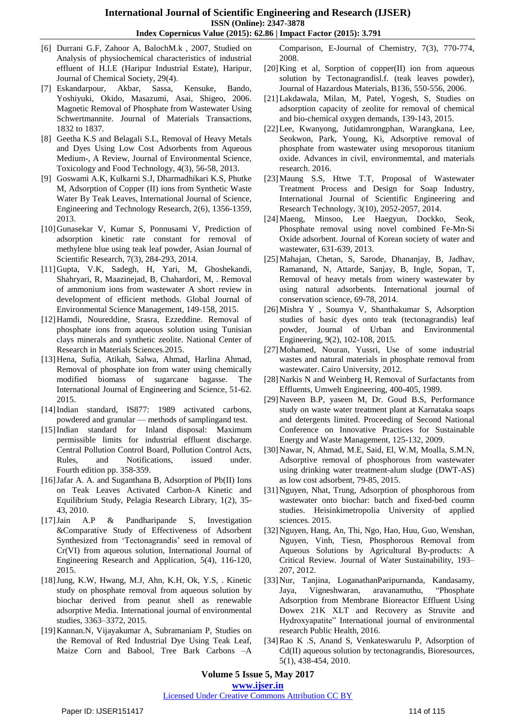- [6] Durrani G.F, Zahoor A, BalochM.k , 2007, Studied on Analysis of physiochemical characteristics of industrial effluent of H.I.E (Haripur Industrial Estate), Haripur, Journal of Chemical Society, 29(4).
- [7] Eskandarpour, Akbar, Sassa, Kensuke, Bando, Yoshiyuki, Okido, Masazumi, Asai, Shigeo, 2006. Magnetic Removal of Phosphate from Wastewater Using Schwertmannite. Journal of Materials Transactions, 1832 to 1837.
- [8] Geetha K.S and Belagali S.L, Removal of Heavy Metals and Dyes Using Low Cost Adsorbents from Aqueous Medium-, A Review, Journal of Environmental Science, Toxicology and Food Technology, 4(3), 56-58, 2013.
- [9] Goswami A.K, Kulkarni S.J, Dharmadhikari K.S, Phutke M, Adsorption of Copper (II) ions from Synthetic Waste Water By Teak Leaves, International Journal of Science, Engineering and Technology Research, 2(6), 1356-1359, 2013.
- [10]Gunasekar V, Kumar S, Ponnusami V, Prediction of adsorption kinetic rate constant for removal of methylene blue using teak leaf powder, Asian Journal of Scientific Research, 7(3), 284-293, 2014.
- [11]Gupta, V.K, Sadegh, H, Yari, M, Ghoshekandi, Shahryari, R, Maazinejad, B, Chahardori, M, . Removal of ammonium ions from wastewater A short review in development of efficient methods. Global Journal of Environmental Science Management, 149-158, 2015.
- [12]Hamdi, Noureddine, Srasra, Ezzeddine. Removal of phosphate ions from aqueous solution using Tunisian clays minerals and synthetic zeolite. National Center of Research in Materials Sciences.2015.
- [13]Hena, Sufia, Atikah, Salwa, Ahmad, Harlina Ahmad, Removal of phosphate ion from water using chemically modified biomass of sugarcane bagasse. The International Journal of Engineering and Science, 51-62. 2015.
- [14]Indian standard, IS877: 1989 activated carbons, powdered and granular — methods of samplingand test.
- [15]Indian standard for Inland disposal: Maximum permissible limits for industrial effluent discharge. Central Pollution Control Board, Pollution Control Acts, Rules, and Notifications, issued under. Fourth edition pp. 358-359.
- [16]Jafar A. A. and Suganthana B, Adsorption of Pb(II) Ions on Teak Leaves Activated Carbon-A Kinetic and Equilibrium Study, Pelagia Research Library, 1(2), 35- 43, 2010.
- [17]Jain A.P & Pandharipande S, Investigation &Comparative Study of Effectiveness of Adsorbent Synthesized from 'Tectonagrandis' seed in removal of Cr(VI) from aqueous solution, International Journal of Engineering Research and Application, 5(4), 116-120, 2015.
- [18]Jung, K.W, Hwang, M.J, Ahn, K.H, Ok, Y.S, . Kinetic study on phosphate removal from aqueous solution by biochar derived from peanut shell as renewable adsorptive Media. International journal of environmental studies, 3363–3372, 2015.
- [19]Kannan.N, Vijayakumar A, Subramaniam P, Studies on the Removal of Red Industrial Dye Using Teak Leaf, Maize Corn and Babool, Tree Bark Carbons –A

Comparison, E-Journal of Chemistry, 7(3), 770-774, 2008.

- [20]King et al, Sorption of copper(II) ion from aqueous solution by Tectonagrandisl.f. (teak leaves powder), Journal of Hazardous Materials, B136, 550-556, 2006.
- [21]Lakdawala, Milan, M, Patel, Yogesh, S, Studies on adsorption capacity of zeolite for removal of chemical and bio-chemical oxygen demands, 139-143, 2015.
- [22]Lee, Kwanyong, Jutidamrongphan, Warangkana, Lee, Seokwon, Park, Young, Ki, Adsorptive removal of phosphate from wastewater using mrsoporous titanium oxide. Advances in civil, environmemtal, and materials research. 2016.
- [23]Maung S.S, Htwe T.T, Proposal of Wastewater Treatment Process and Design for Soap Industry, International Journal of Scientific Engineering and Research Technology, 3(10), 2052-2057, 2014.
- [24]Maeng, Minsoo, Lee Haegyun, Dockko, Seok, Phosphate removal using novel combined Fe-Mn-Si Oxide adsorbent. Journal of Korean society of water and wastewater, 631-639, 2013.
- [25]Mahajan, Chetan, S, Sarode, Dhananjay, B, Jadhav, Ramanand, N, Attarde, Sanjay, B, Ingle, Sopan, T, Removal of heavy metals from winery wastewater by using natural adsorbents. International journal of conservation science, 69-78, 2014.
- [26]Mishra Y , Soumya V, Shanthakumar S, Adsorption studies of basic dyes onto teak (tectonagrandis) leaf powder, Journal of Urban and Environmental Engineering, 9(2), 102-108, 2015.
- [27]Mohamed, Nouran, Yussri, Use of some industrial wastes and natural materials in phosphate removal from wastewater. Cairo University, 2012.
- [28] Narkis N and Weinberg H, Removal of Surfactants from Effluents, Umwelt Engineering, 400-405, 1989.
- [29]Naveen B.P, yaseen M, Dr. Goud B.S, Performance study on waste water treatment plant at Karnataka soaps and detergents limited. Proceeding of Second National Conference on Innovative Practices for Sustainable Energy and Waste Management, 125-132, 2009.
- [30]Nawar, N, Ahmad, M.E, Said, El, W.M, Moalla, S.M.N, Adsorptive removal of phosphorous from wastewater using drinking water treatment-alum sludge (DWT-AS) as low cost adsorbent, 79-85, 2015.
- [31]Nguyen, Nhat, Trung, Adsorption of phosphorous from wastewater onto biochar: batch and fixed-bed coumn studies. Heisinkimetropolia University of applied sciences. 2015.
- [32]Nguyen, Hang, An, Thi, Ngo, Hao, Huu, Guo, Wenshan, Nguyen, Vinh, Tiesn, Phosphorous Removal from Aqueous Solutions by Agricultural By-products: A Critical Review. Journal of Water Sustainability, 193– 207, 2012.
- [33]Nur, Tanjina, LoganathanParipurnanda, Kandasamy, Jaya, Vigneshwaran, aravanamuthu, "Phosphate Adsorption from Membrane Bioreactor Effluent Using Dowex 21K XLT and Recovery as Struvite and Hydroxyapatite" International journal of environmental research Public Health, 2016.
- [34]Rao K .S, Anand S, Venkateswarulu P, Adsorption of Cd(II) aqueous solution by tectonagrandis, Bioresources, 5(1), 438-454, 2010.

**Volume 5 Issue 5, May 2017**

**www.ijser.in**